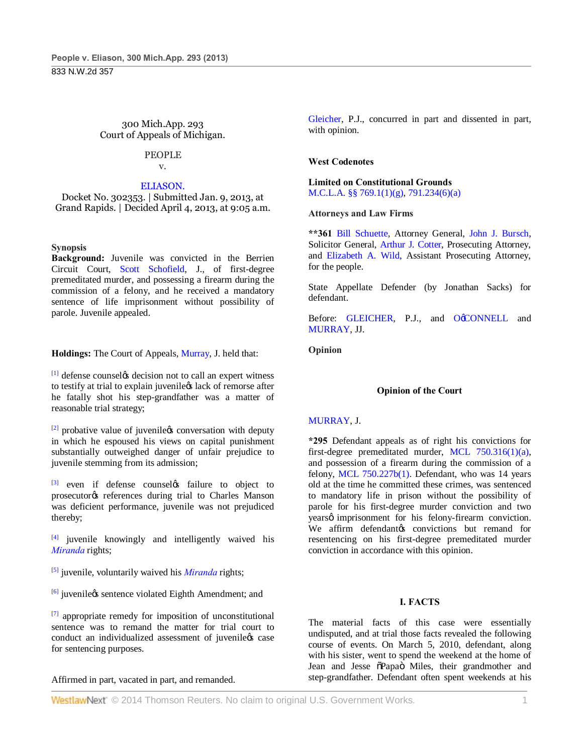300 Mich.App. 293 Court of Appeals of Michigan.

#### PEOPLE v.

## ELIASON.

Docket No. 302353. | Submitted Jan. 9, 2013, at Grand Rapids. | Decided April 4, 2013, at 9:05 a.m.

## **Synopsis**

**Background:** Juvenile was convicted in the Berrien Circuit Court, Scott Schofield, J., of first-degree premeditated murder, and possessing a firearm during the commission of a felony, and he received a mandatory sentence of life imprisonment without possibility of parole. Juvenile appealed.

**Holdings:** The Court of Appeals, Murray, J. held that:

 $[1]$  defense counsely decision not to call an expert witness to testify at trial to explain juveniless lack of remorse after he fatally shot his step-grandfather was a matter of reasonable trial strategy;

 $[2]$  probative value of juvenilegs conversation with deputy in which he espoused his views on capital punishment substantially outweighed danger of unfair prejudice to juvenile stemming from its admission;

 $[3]$  even if defense counsely failure to object to prosecutor<sub>®</sub> references during trial to Charles Manson was deficient performance, juvenile was not prejudiced thereby;

[4] juvenile knowingly and intelligently waived his *Miranda* rights;

[5] juvenile, voluntarily waived his *Miranda* rights;

 $\left[6\right]$  juvenile $\alpha$  sentence violated Eighth Amendment; and

[7] appropriate remedy for imposition of unconstitutional sentence was to remand the matter for trial court to conduct an individualized assessment of juvenilegs case for sentencing purposes.

Affirmed in part, vacated in part, and remanded.

Gleicher, P.J., concurred in part and dissented in part, with opinion.

## **West Codenotes**

**Limited on Constitutional Grounds** M.C.L.A. §§ 769.1(1)(g), 791.234(6)(a)

## **Attorneys and Law Firms**

**\*\*361** Bill Schuette, Attorney General, John J. Bursch, Solicitor General, Arthur J. Cotter, Prosecuting Attorney, and Elizabeth A. Wild, Assistant Prosecuting Attorney, for the people.

State Appellate Defender (by Jonathan Sacks) for defendant.

Before: GLEICHER, P.J., and OCONNELL and MURRAY, JJ.

**Opinion**

#### **Opinion of the Court**

#### MURRAY, J.

**\*295** Defendant appeals as of right his convictions for first-degree premeditated murder, MCL 750.316(1)(a), and possession of a firearm during the commission of a felony, MCL 750.227b(1). Defendant, who was 14 years old at the time he committed these crimes, was sentenced to mandatory life in prison without the possibility of parole for his first-degree murder conviction and two years *imprisonment* for his felony-firearm conviction. We affirm defendantøs convictions but remand for resentencing on his first-degree premeditated murder conviction in accordance with this opinion.

## **I. FACTS**

The material facts of this case were essentially undisputed, and at trial those facts revealed the following course of events. On March 5, 2010, defendant, along with his sister, went to spend the weekend at the home of Jean and Jesse  $\tilde{\Omega}$ Papa $\tilde{\Omega}$  Miles, their grandmother and step-grandfather. Defendant often spent weekends at his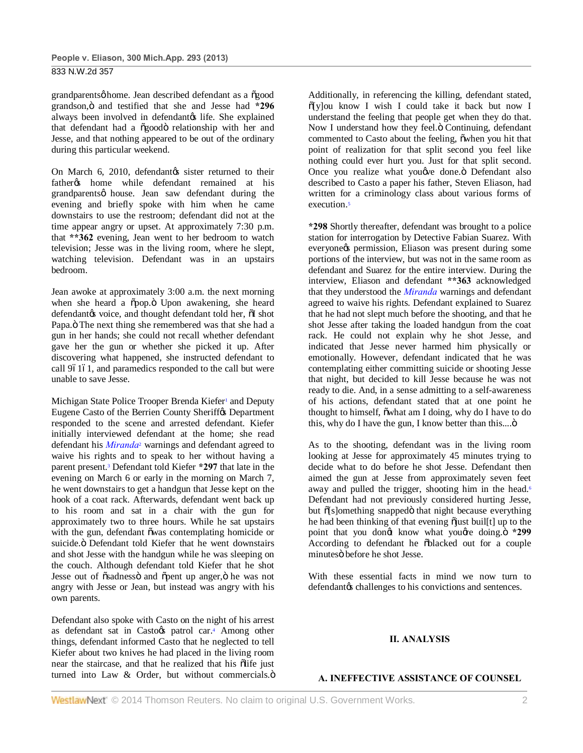grandparentsø home. Jean described defendant as a õgood grandson," and testified that she and Jesse had **\*296** always been involved in defendantøs life. She explained that defendant had a  $\delta$ good $\ddot{o}$  relationship with her and Jesse, and that nothing appeared to be out of the ordinary during this particular weekend.

On March 6, 2010, defendantøs sister returned to their father% home while defendant remained at his grandparentsø house. Jean saw defendant during the evening and briefly spoke with him when he came downstairs to use the restroom; defendant did not at the time appear angry or upset. At approximately 7:30 p.m. that **\*\*362** evening, Jean went to her bedroom to watch television; Jesse was in the living room, where he slept, watching television. Defendant was in an upstairs bedroom.

Jean awoke at approximately 3:00 a.m. the next morning when she heard a õpop.ö Upon awakening, she heard defendantøs voice, and thought defendant told her,  $\tilde{o}I$  shot Papa. ö The next thing she remembered was that she had a gun in her hands; she could not recall whether defendant gave her the gun or whether she picked it up. After discovering what happened, she instructed defendant to call 96161, and paramedics responded to the call but were unable to save Jesse.

Michigan State Police Trooper Brenda Kiefer<sup>1</sup> and Deputy Eugene Casto of the Berrien County Sheriff $\alpha$  Department responded to the scene and arrested defendant. Kiefer initially interviewed defendant at the home; she read defendant his *Miranda*<sup>2</sup> warnings and defendant agreed to waive his rights and to speak to her without having a parent present.3 Defendant told Kiefer **\*297** that late in the evening on March 6 or early in the morning on March 7, he went downstairs to get a handgun that Jesse kept on the hook of a coat rack. Afterwards, defendant went back up to his room and sat in a chair with the gun for approximately two to three hours. While he sat upstairs with the gun, defendant õwas contemplating homicide or suicide. Ö Defendant told Kiefer that he went downstairs and shot Jesse with the handgun while he was sleeping on the couch. Although defendant told Kiefer that he shot Jesse out of  $\tilde{\text{osadness}}$  and  $\tilde{\text{open}}$  up anger,  $\ddot{\text{o}}$  he was not angry with Jesse or Jean, but instead was angry with his own parents.

Defendant also spoke with Casto on the night of his arrest as defendant sat in Castoøs patrol car.<sup>4</sup> Among other things, defendant informed Casto that he neglected to tell Kiefer about two knives he had placed in the living room near the staircase, and that he realized that his õlife just turned into Law  $&$  Order, but without commercials. $\ddot{o}$  Additionally, in referencing the killing, defendant stated,  $\delta$ [y]ou know I wish I could take it back but now I understand the feeling that people get when they do that. Now I understand how they feel.<sup>"</sup> Continuing, defendant commented to Casto about the feeling, owhen you hit that point of realization for that split second you feel like nothing could ever hurt you. Just for that split second. Once you realize what you we done. Ö Defendant also described to Casto a paper his father, Steven Eliason, had written for a criminology class about various forms of execution.<sup>5</sup>

**\*298** Shortly thereafter, defendant was brought to a police station for interrogation by Detective Fabian Suarez. With everyone *t* permission, Eliason was present during some portions of the interview, but was not in the same room as defendant and Suarez for the entire interview. During the interview, Eliason and defendant **\*\*363** acknowledged that they understood the *Miranda* warnings and defendant agreed to waive his rights. Defendant explained to Suarez that he had not slept much before the shooting, and that he shot Jesse after taking the loaded handgun from the coat rack. He could not explain why he shot Jesse, and indicated that Jesse never harmed him physically or emotionally. However, defendant indicated that he was contemplating either committing suicide or shooting Jesse that night, but decided to kill Jesse because he was not ready to die. And, in a sense admitting to a self-awareness of his actions, defendant stated that at one point he thought to himself,  $\ddot{\text{o}}$  what am I doing, why do I have to do this, why do I have the gun, I know better than this.... $\ddot{o}$ 

As to the shooting, defendant was in the living room looking at Jesse for approximately 45 minutes trying to decide what to do before he shot Jesse. Defendant then aimed the gun at Jesse from approximately seven feet away and pulled the trigger, shooting him in the head.<sup>6</sup> Defendant had not previously considered hurting Jesse, but  $\delta$ [s]omething snapped $\ddot{o}$  that night because everything he had been thinking of that evening  $\tilde{\text{o}}$  just buil[t] up to the point that you dongt know what yougre doing.  $\ddot{o}$  \*299 According to defendant he õblacked out for a couple minutesö before he shot Jesse.

With these essential facts in mind we now turn to defendant $\alpha$  challenges to his convictions and sentences.

## **II. ANALYSIS**

#### **A. INEFFECTIVE ASSISTANCE OF COUNSEL**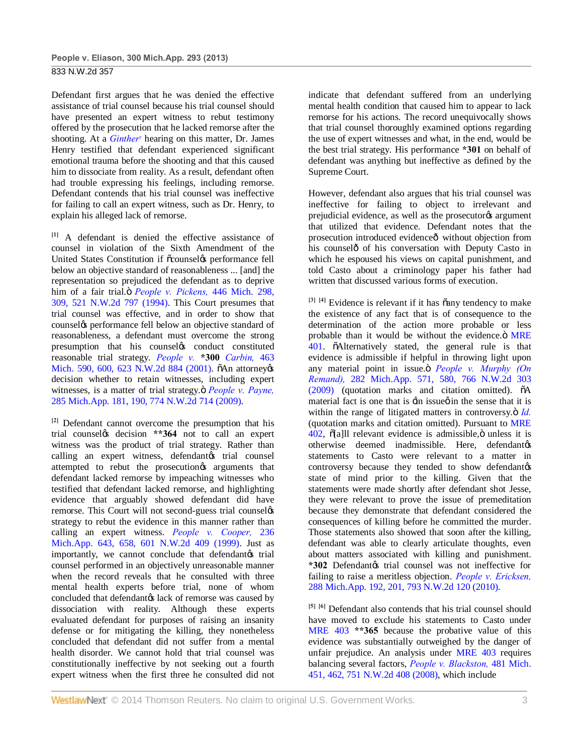Defendant first argues that he was denied the effective assistance of trial counsel because his trial counsel should have presented an expert witness to rebut testimony offered by the prosecution that he lacked remorse after the shooting. At a *Ginther*<sup>7</sup> hearing on this matter, Dr. James Henry testified that defendant experienced significant emotional trauma before the shooting and that this caused him to dissociate from reality. As a result, defendant often had trouble expressing his feelings, including remorse. Defendant contends that his trial counsel was ineffective for failing to call an expert witness, such as Dr. Henry, to explain his alleged lack of remorse.

**[1]** A defendant is denied the effective assistance of counsel in violation of the Sixth Amendment of the United States Constitution if  $\tilde{\text{c}}$ counsel $\alpha$  performance fell below an objective standard of reasonableness ... [and] the representation so prejudiced the defendant as to deprive him of a fair trial." *People v. Pickens,* 446 Mich. 298, 309, 521 N.W.2d 797 (1994). This Court presumes that trial counsel was effective, and in order to show that counsely performance fell below an objective standard of reasonableness, a defendant must overcome the strong presumption that his counsely conduct constituted reasonable trial strategy. *People v.* **\*300** *Carbin,* 463 Mich. 590, 600, 623 N.W.2d 884 (2001).  $\delta$ An attorney  $\delta$ decision whether to retain witnesses, including expert witnesses, is a matter of trial strategy. $\ddot{o}$  *People v. Payne,* 285 Mich.App. 181, 190, 774 N.W.2d 714 (2009).

**[2]** Defendant cannot overcome the presumption that his trial counselgs decision \*\*364 not to call an expert witness was the product of trial strategy. Rather than calling an expert witness, defendant trial counsel attempted to rebut the prosecution arguments that defendant lacked remorse by impeaching witnesses who testified that defendant lacked remorse, and highlighting evidence that arguably showed defendant did have remorse. This Court will not second-guess trial counselos strategy to rebut the evidence in this manner rather than calling an expert witness. *People v. Cooper,* 236 Mich.App. 643, 658, 601 N.W.2d 409 (1999). Just as importantly, we cannot conclude that defendant $\alpha$  trial counsel performed in an objectively unreasonable manner when the record reveals that he consulted with three mental health experts before trial, none of whom concluded that defendant a lack of remorse was caused by dissociation with reality. Although these experts evaluated defendant for purposes of raising an insanity defense or for mitigating the killing, they nonetheless concluded that defendant did not suffer from a mental health disorder. We cannot hold that trial counsel was constitutionally ineffective by not seeking out a fourth expert witness when the first three he consulted did not

indicate that defendant suffered from an underlying mental health condition that caused him to appear to lack remorse for his actions. The record unequivocally shows that trial counsel thoroughly examined options regarding the use of expert witnesses and what, in the end, would be the best trial strategy. His performance **\*301** on behalf of defendant was anything but ineffective as defined by the Supreme Court.

However, defendant also argues that his trial counsel was ineffective for failing to object to irrelevant and prejudicial evidence, as well as the prosecutor is argument that utilized that evidence. Defendant notes that the prosecution introduced evidence<sup>o</sup> without objection from his counselô of his conversation with Deputy Casto in which he espoused his views on capital punishment, and told Casto about a criminology paper his father had written that discussed various forms of execution.

 $[3]$   $[4]$  Evidence is relevant if it has  $\tilde{a}$ any tendency to make the existence of any fact that is of consequence to the determination of the action more probable or less probable than it would be without the evidence. Ö MRE 401. õAlternatively stated, the general rule is that evidence is admissible if helpful in throwing light upon any material point in issue. *People v. Murphy (On Remand),* 282 Mich.App. 571, 580, 766 N.W.2d 303  $(2009)$  (quotation marks and citation omitted).  $\tilde{o}A$ material fact is one that is  $\exists$  in issue o in the sense that it is within the range of litigated matters in controversy. $\ddot{o}$  *Id.* (quotation marks and citation omitted). Pursuant to MRE  $402$ ,  $\delta$ [a]ll relevant evidence is admissible, $\ddot{o}$  unless it is  $otherwise$  deemed inadmissible. Here, defendantos statements to Casto were relevant to a matter in controversy because they tended to show defendant state of mind prior to the killing. Given that the statements were made shortly after defendant shot Jesse, they were relevant to prove the issue of premeditation because they demonstrate that defendant considered the consequences of killing before he committed the murder. Those statements also showed that soon after the killing, defendant was able to clearly articulate thoughts, even about matters associated with killing and punishment. **\*302** Defendantos trial counsel was not ineffective for failing to raise a meritless objection. *People v. Ericksen,* 288 Mich.App. 192, 201, 793 N.W.2d 120 (2010).

**[5] [6]** Defendant also contends that his trial counsel should have moved to exclude his statements to Casto under MRE 403 **\*\*365** because the probative value of this evidence was substantially outweighed by the danger of unfair prejudice. An analysis under MRE 403 requires balancing several factors, *People v. Blackston,* 481 Mich. 451, 462, 751 N.W.2d 408 (2008), which include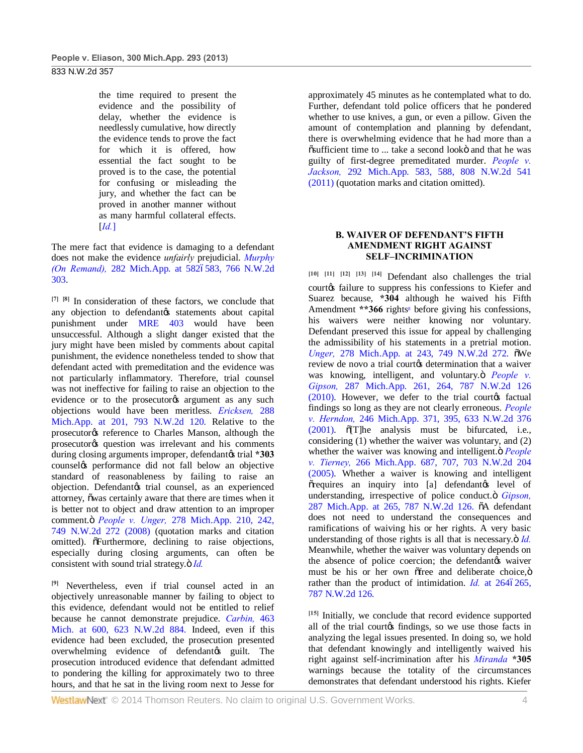the time required to present the evidence and the possibility of delay, whether the evidence is needlessly cumulative, how directly the evidence tends to prove the fact for which it is offered, how essential the fact sought to be proved is to the case, the potential for confusing or misleading the jury, and whether the fact can be proved in another manner without as many harmful collateral effects. [*Id.*]

The mere fact that evidence is damaging to a defendant does not make the evidence *unfairly* prejudicial. *Murphy (On Remand),* 282 Mich.App. at 5826583, 766 N.W.2d 303.

**[7] [8]** In consideration of these factors, we conclude that any objection to defendantøs statements about capital punishment under MRE 403 would have been unsuccessful. Although a slight danger existed that the jury might have been misled by comments about capital punishment, the evidence nonetheless tended to show that defendant acted with premeditation and the evidence was not particularly inflammatory. Therefore, trial counsel was not ineffective for failing to raise an objection to the evidence or to the prosecutor<sub>os</sub> argument as any such objections would have been meritless. *Ericksen,* 288 Mich.App. at 201, 793 N.W.2d 120. Relative to the prosecutor<sub>®</sub> reference to Charles Manson, although the prosecutor<sub>®</sub> question was irrelevant and his comments during closing arguments improper, defendant  $\&$  trial \*303 counsel's performance did not fall below an objective standard of reasonableness by failing to raise an objection. Defendantøs trial counsel, as an experienced attorney, õwas certainly aware that there are times when it is better not to object and draw attention to an improper comment." *People v. Unger,* 278 Mich.App. 210, 242, 749 N.W.2d 272 (2008) (quotation marks and citation omitted).  $\delta$ Furthermore, declining to raise objections, especially during closing arguments, can often be consistent with sound trial strategy. $\ddot{o}$  *Id.* 

**[9]** Nevertheless, even if trial counsel acted in an objectively unreasonable manner by failing to object to this evidence, defendant would not be entitled to relief because he cannot demonstrate prejudice. *Carbin,* 463 Mich. at 600, 623 N.W.2d 884. Indeed, even if this evidence had been excluded, the prosecution presented overwhelming evidence of defendant  $\alpha$  guilt. The prosecution introduced evidence that defendant admitted to pondering the killing for approximately two to three hours, and that he sat in the living room next to Jesse for

approximately 45 minutes as he contemplated what to do. Further, defendant told police officers that he pondered whether to use knives, a gun, or even a pillow. Given the amount of contemplation and planning by defendant, there is overwhelming evidence that he had more than a  $\tilde{\text{c}}$  sufficient time to ... take a second looko and that he was guilty of first-degree premeditated murder. *People v. Jackson,* 292 Mich.App. 583, 588, 808 N.W.2d 541 (2011) (quotation marks and citation omitted).

## **B. WAIVER OF DEFENDANT'S FIFTH AMENDMENT RIGHT AGAINST SELF–INCRIMINATION**

**[10] [11] [12] [13] [14]** Defendant also challenges the trial courtøs failure to suppress his confessions to Kiefer and Suarez because, **\*304** although he waived his Fifth Amendment \*\*366 rights<sup>8</sup> before giving his confessions, his waivers were neither knowing nor voluntary. Defendant preserved this issue for appeal by challenging the admissibility of his statements in a pretrial motion. *Unger*, 278 Mich.App. at 243, 749 N.W.2d 272.  $\tilde{\text{o}}$ We review de novo a trial courtos determination that a waiver was knowing, intelligent, and voluntary. *People v. Gipson,* 287 Mich.App. 261, 264, 787 N.W.2d 126  $(2010)$ . However, we defer to the trial courtes factual findings so long as they are not clearly erroneous. *People v. Herndon,* 246 Mich.App. 371, 395, 633 N.W.2d 376  $(2001)$ .  $\text{õ[T]he}$  analysis must be bifurcated, i.e., considering (1) whether the waiver was voluntary, and (2) whether the waiver was knowing and intelligent. $\ddot{o}$  *People v. Tierney,* 266 Mich.App. 687, 707, 703 N.W.2d 204 (2005). Whether a waiver is knowing and intelligent  $\tilde{\sigma}$  requires an inquiry into [a] defendant  $\alpha$  level of understanding, irrespective of police conduct. *Gipson*, 287 Mich.App. at 265, 787 N.W.2d 126.  $\delta$ A defendant does not need to understand the consequences and ramifications of waiving his or her rights. A very basic understanding of those rights is all that is necessary. $\ddot{o}$  *Id.* Meanwhile, whether the waiver was voluntary depends on the absence of police coercion; the defendant waiver must be his or her own  $\delta$  free and deliberate choice, $\ddot{\delta}$ rather than the product of intimidation.  $Id$  at  $2646265$ , 787 N.W.2d 126.

**[15]** Initially, we conclude that record evidence supported all of the trial courtos findings, so we use those facts in analyzing the legal issues presented. In doing so, we hold that defendant knowingly and intelligently waived his right against self-incrimination after his *Miranda* **\*305** warnings because the totality of the circumstances demonstrates that defendant understood his rights. Kiefer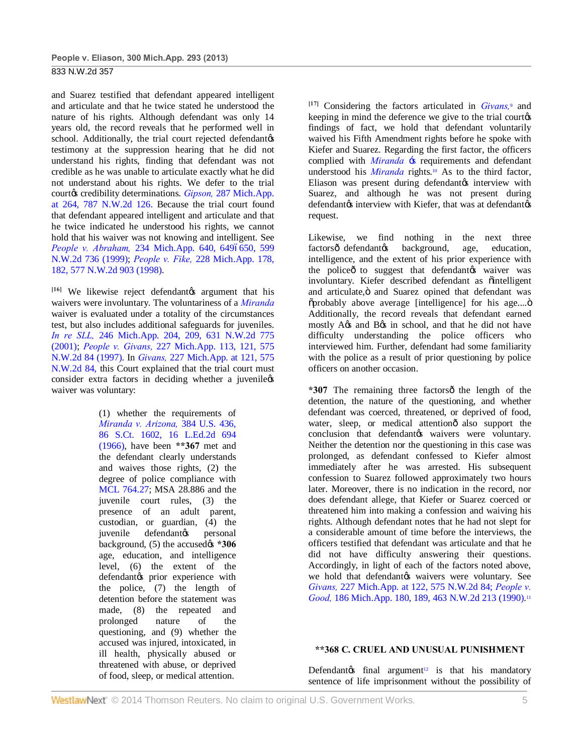and Suarez testified that defendant appeared intelligent and articulate and that he twice stated he understood the nature of his rights. Although defendant was only 14 years old, the record reveals that he performed well in school. Additionally, the trial court rejected defendantos testimony at the suppression hearing that he did not understand his rights, finding that defendant was not credible as he was unable to articulate exactly what he did not understand about his rights. We defer to the trial court $\alpha$  credibility determinations. *Gipson*, 287 Mich.App. at 264, 787 N.W.2d 126. Because the trial court found that defendant appeared intelligent and articulate and that he twice indicated he understood his rights, we cannot hold that his waiver was not knowing and intelligent. See *People v. Abraham,* 234 Mich.App. 640, 6496650, 599 N.W.2d 736 (1999); *People v. Fike,* 228 Mich.App. 178, 182, 577 N.W.2d 903 (1998).

<sup>[16]</sup> We likewise reject defendant *g* argument that his waivers were involuntary. The voluntariness of a *Miranda* waiver is evaluated under a totality of the circumstances test, but also includes additional safeguards for juveniles. *In re SLL,* 246 Mich.App. 204, 209, 631 N.W.2d 775 (2001); *People v. Givans,* 227 Mich.App. 113, 121, 575 N.W.2d 84 (1997). In *Givans,* 227 Mich.App. at 121, 575 N.W.2d 84, this Court explained that the trial court must consider extra factors in deciding whether a juvenile os waiver was voluntary:

> (1) whether the requirements of *Miranda v. Arizona,* 384 U.S. 436, 86 S.Ct. 1602, 16 L.Ed.2d 694 (1966), have been **\*\*367** met and the defendant clearly understands and waives those rights, (2) the degree of police compliance with MCL 764.27; MSA 28.886 and the juvenile court rules, (3) the presence of an adult parent, custodian, or guardian, (4) the juvenile defendantøs personal background, (5) the accused $\alpha$  **\*306** age, education, and intelligence level, (6) the extent of the defendantøs prior experience with the police, (7) the length of detention before the statement was made, (8) the repeated and prolonged nature of the questioning, and (9) whether the accused was injured, intoxicated, in ill health, physically abused or threatened with abuse, or deprived of food, sleep, or medical attention.

**[17]** Considering the factors articulated in *Givans,*<sup>9</sup> and keeping in mind the deference we give to the trial courtos findings of fact, we hold that defendant voluntarily waived his Fifth Amendment rights before he spoke with Kiefer and Suarez. Regarding the first factor, the officers complied with *Miranda* 's requirements and defendant understood his *Miranda* rights.10 As to the third factor, Eliason was present during defendantøs interview with Suarez, and although he was not present during defendantøs interview with Kiefer, that was at defendantøs request.

Likewise, we find nothing in the next three factorsô defendantos background, age, education, intelligence, and the extent of his prior experience with the policeô to suggest that defendant twaiver was involuntary. Kiefer described defendant as õintelligent and articulate, ö and Suarez opined that defendant was õprobably above average [intelligence] for his age.... ö Additionally, the record reveals that defendant earned mostly A $\alpha$ 's and B $\alpha$ 's in school, and that he did not have difficulty understanding the police officers who interviewed him. Further, defendant had some familiarity with the police as a result of prior questioning by police officers on another occasion.

\*307 The remaining three factorsô the length of the detention, the nature of the questioning, and whether defendant was coerced, threatened, or deprived of food, water, sleep, or medical attentionô also support the conclusion that defendant waivers were voluntary. Neither the detention nor the questioning in this case was prolonged, as defendant confessed to Kiefer almost immediately after he was arrested. His subsequent confession to Suarez followed approximately two hours later. Moreover, there is no indication in the record, nor does defendant allege, that Kiefer or Suarez coerced or threatened him into making a confession and waiving his rights. Although defendant notes that he had not slept for a considerable amount of time before the interviews, the officers testified that defendant was articulate and that he did not have difficulty answering their questions. Accordingly, in light of each of the factors noted above, we hold that defendantøs waivers were voluntary. See *Givans,* 227 Mich.App. at 122, 575 N.W.2d 84; *People v. Good,* 186 Mich.App. 180, 189, 463 N.W.2d 213 (1990).11

#### **\*\*368 C. CRUEL AND UNUSUAL PUNISHMENT**

Defendant $\alpha$  final argument<sup>12</sup> is that his mandatory sentence of life imprisonment without the possibility of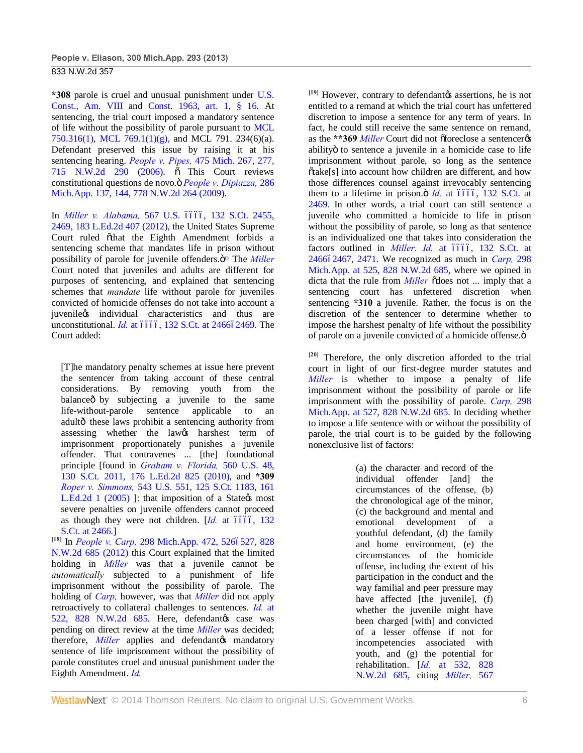**\*308** parole is cruel and unusual punishment under U.S. Const., Am. VIII and Const. 1963, art. 1, § 16. At sentencing, the trial court imposed a mandatory sentence of life without the possibility of parole pursuant to MCL 750.316(1), MCL 769.1(1)(g), and MCL 791. 234(6)(a). Defendant preserved this issue by raising it at his sentencing hearing. *People v. Pipes,* 475 Mich. 267, 277, 715 N.W.2d 290 (2006).  $\tilde{o}$  This Court reviews constitutional questions de novo." *People v. Dipiazza,* 286 Mich.App. 137, 144, 778 N.W.2d 264 (2009).

In *Miller v. Alabama*, 567 U.S. 6666, 132 S.Ct. 2455, 2469, 183 L.Ed.2d 407 (2012), the United States Supreme Court ruled õthat the Eighth Amendment forbids a sentencing scheme that mandates life in prison without possibility of parole for juvenile offenders.<sup> $\ddot{o}$ 13</sup> The *Miller* Court noted that juveniles and adults are different for purposes of sentencing, and explained that sentencing schemes that *mandate* life without parole for juveniles convicted of homicide offenses do not take into account a juvenile $\circ$  individual characteristics and thus are unconstitutional. *Id.* at 6666, 132 S.Ct. at 246662469. The Court added:

[T]he mandatory penalty schemes at issue here prevent the sentencer from taking account of these central considerations. By removing youth from the balance oby subjecting a juvenile to the same life-without-parole sentence applicable to an adultô these laws prohibit a sentencing authority from assessing whether the lawgs harshest term of imprisonment proportionately punishes a juvenile offender. That contravenes ... [the] foundational principle [found in *Graham v. Florida,* 560 U.S. 48, 130 S.Ct. 2011, 176 L.Ed.2d 825 (2010), and **\*309** *Roper v. Simmons,* 543 U.S. 551, 125 S.Ct. 1183, 161 L.Ed.2d 1  $(2005)$  ]: that imposition of a State  $\alpha$ s most severe penalties on juvenile offenders cannot proceed as though they were not children.  $Id$ , at  $6666$ ,  $132$ S.Ct. at 2466.]

<sup>[18]</sup> In *People v. Carp*, 298 Mich.App. 472, 5266527, 828 N.W.2d 685 (2012) this Court explained that the limited holding in *Miller* was that a juvenile cannot be *automatically* subjected to a punishment of life imprisonment without the possibility of parole. The holding of *Carp,* however, was that *Miller* did not apply retroactively to collateral challenges to sentences. *Id.* at 522, 828 N.W.2d 685. Here, defendantøs case was pending on direct review at the time *Miller* was decided; therefore, *Miller* applies and defendant *mandatory* sentence of life imprisonment without the possibility of parole constitutes cruel and unusual punishment under the Eighth Amendment. *Id.*

<sup>[19]</sup> However, contrary to defendant *(s* assertions, he is not entitled to a remand at which the trial court has unfettered discretion to impose a sentence for any term of years. In fact, he could still receive the same sentence on remand, as the \*\*369 *Miller* Court did not offoreclose a sentenceres abilityö to sentence a juvenile in a homicide case to life imprisonment without parole, so long as the sentence õtake[s] into account how children are different, and how those differences counsel against irrevocably sentencing them to a lifetime in prison. $\ddot{o}$  *Id.* at  $\acute{o}$   $\acute{o}$   $\acute{o}$ , 132 S.Ct. at 2469. In other words, a trial court can still sentence a juvenile who committed a homicide to life in prison without the possibility of parole, so long as that sentence is an individualized one that takes into consideration the factors outlined in *Miller. Id.* at 6666, 132 S.Ct. at 2466–2467, 2471. We recognized as much in *Carp,* 298 Mich.App. at 525, 828 N.W.2d 685, where we opined in dicta that the rule from *Miller*  $\delta$  does not ... imply that a sentencing court has unfettered discretion when sentencing **\*310** a juvenile. Rather, the focus is on the discretion of the sentencer to determine whether to impose the harshest penalty of life without the possibility of parole on a juvenile convicted of a homicide offense.<sup>"</sup>

**[20]** Therefore, the only discretion afforded to the trial court in light of our first-degree murder statutes and *Miller* is whether to impose a penalty of life imprisonment without the possibility of parole or life imprisonment with the possibility of parole. *Carp,* 298 Mich.App. at 527, 828 N.W.2d 685. In deciding whether to impose a life sentence with or without the possibility of parole, the trial court is to be guided by the following nonexclusive list of factors:

> (a) the character and record of the individual offender [and] the circumstances of the offense, (b) the chronological age of the minor, (c) the background and mental and emotional development of a youthful defendant, (d) the family and home environment, (e) the circumstances of the homicide offense, including the extent of his participation in the conduct and the way familial and peer pressure may have affected [the juvenile], (f) whether the juvenile might have been charged [with] and convicted of a lesser offense if not for incompetencies associated with youth, and (g) the potential for rehabilitation. [*Id.* at 532, 828 N.W.2d 685, citing *Miller,* 567

WestlawNext<sup>®</sup> © 2014 Thomson Reuters. No claim to original U.S. Government Works. 66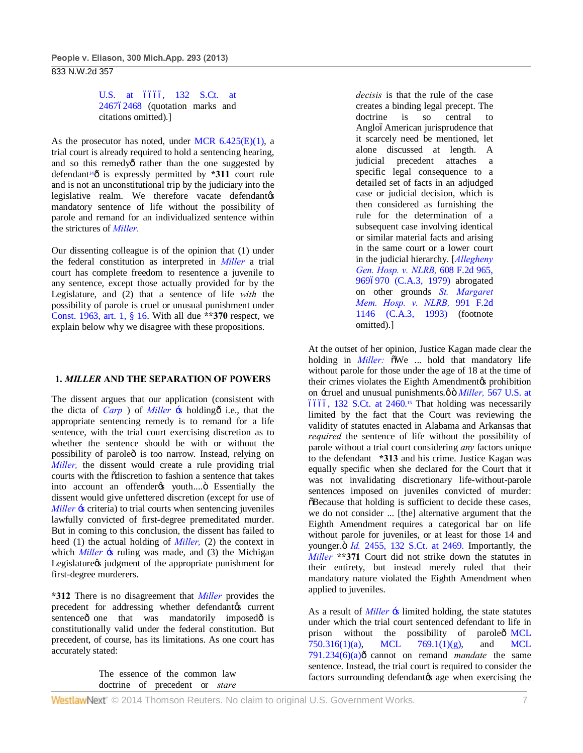U.S. at 6666, 132 S.Ct. at 246762468 (quotation marks and citations omitted).]

As the prosecutor has noted, under MCR  $6.425(E)(1)$ , a trial court is already required to hold a sentencing hearing, and so this remedyô rather than the one suggested by defendant<sup>14</sup> $\hat{o}$  is expressly permitted by **\*311** court rule and is not an unconstitutional trip by the judiciary into the legislative realm. We therefore vacate defendantos mandatory sentence of life without the possibility of parole and remand for an individualized sentence within the strictures of *Miller.*

Our dissenting colleague is of the opinion that (1) under the federal constitution as interpreted in *Miller* a trial court has complete freedom to resentence a juvenile to any sentence, except those actually provided for by the Legislature, and (2) that a sentence of life *with* the possibility of parole is cruel or unusual punishment under Const. 1963, art. 1, § 16. With all due **\*\*370** respect, we explain below why we disagree with these propositions.

## **1.** *MILLER* **AND THE SEPARATION OF POWERS**

The dissent argues that our application (consistent with the dicta of *Carp* ) of *Miller*  $\div$  bolding  $\hat{o}$  i.e., that the appropriate sentencing remedy is to remand for a life sentence, with the trial court exercising discretion as to whether the sentence should be with or without the possibility of paroleô is too narrow. Instead, relying on *Miller,* the dissent would create a rule providing trial courts with the õdiscretion to fashion a sentence that takes into account an offender os youth....  $\ddot{o}$  Essentially the dissent would give unfettered discretion (except for use of *Miller*  $\div$  scriteria) to trial courts when sentencing juveniles lawfully convicted of first-degree premeditated murder. But in coming to this conclusion, the dissent has failed to heed (1) the actual holding of *Miller,* (2) the context in which *Miller*  $\div$  s ruling was made, and (3) the Michigan Legislature independent of the appropriate punishment for first-degree murderers.

**\*312** There is no disagreement that *Miller* provides the precedent for addressing whether defendant $\alpha$  current sentenceô one that was mandatorily imposedô is constitutionally valid under the federal constitution. But precedent, of course, has its limitations. As one court has accurately stated:

> The essence of the common law doctrine of precedent or *stare*

*decisis* is that the rule of the case creates a binding legal precept. The doctrine is so central to AngloóAmerican jurisprudence that it scarcely need be mentioned, let alone discussed at length. A judicial precedent attaches a specific legal consequence to a detailed set of facts in an adjudged case or judicial decision, which is then considered as furnishing the rule for the determination of a subsequent case involving identical or similar material facts and arising in the same court or a lower court in the judicial hierarchy. [*Allegheny Gen. Hosp. v. NLRB,* 608 F.2d 965, 9696970 (C.A.3, 1979) abrogated on other grounds *St. Margaret Mem. Hosp. v. NLRB,* 991 F.2d 1146 (C.A.3, 1993) (footnote omitted).]

At the outset of her opinion, Justice Kagan made clear the holding in *Miller*: oWe ... hold that mandatory life without parole for those under the age of 18 at the time of their crimes violates the Eighth Amendment (sprohibition on -cruel and unusual punishments. $\phi$  ö *Miller*, 567 U.S. at  $6666$ , 132 S.Ct. at  $2460$ .<sup>15</sup> That holding was necessarily limited by the fact that the Court was reviewing the validity of statutes enacted in Alabama and Arkansas that *required* the sentence of life without the possibility of parole without a trial court considering *any* factors unique to the defendant **\*313** and his crime. Justice Kagan was equally specific when she declared for the Court that it was not invalidating discretionary life-without-parole sentences imposed on juveniles convicted of murder:  $\delta$ Because that holding is sufficient to decide these cases, we do not consider ... [the] alternative argument that the Eighth Amendment requires a categorical bar on life without parole for juveniles, or at least for those 14 and younger. $\ddot{o}$  *Id.* 2455, 132 S.Ct. at 2469. Importantly, the *Miller* **\*\*371** Court did not strike down the statutes in their entirety, but instead merely ruled that their mandatory nature violated the Eighth Amendment when applied to juveniles.

As a result of *Miller*  $\div$ s limited holding, the state statutes under which the trial court sentenced defendant to life in prison without the possibility of paroleô MCL 750.316(1)(a), MCL 769.1(1)(g), and MCL  $791.234(6)(a)$ ô cannot on remand *mandate* the same sentence. Instead, the trial court is required to consider the factors surrounding defendant age when exercising the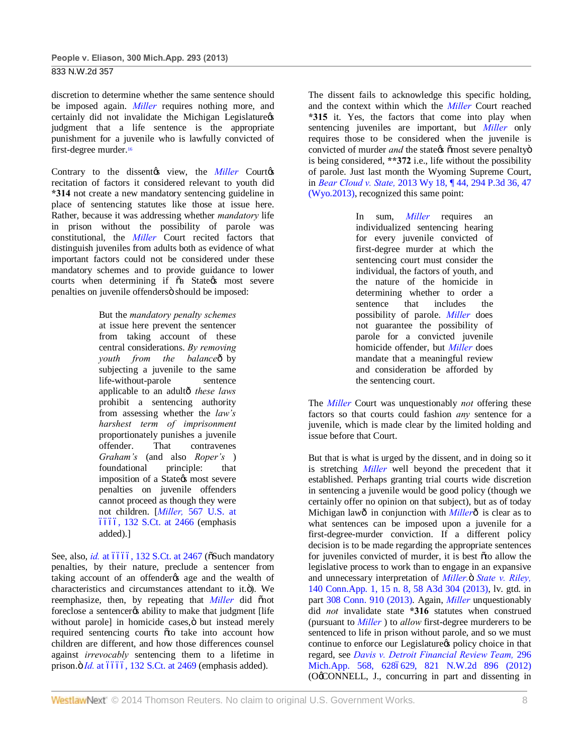discretion to determine whether the same sentence should be imposed again. *Miller* requires nothing more, and certainly did not invalidate the Michigan Legislature $\alpha$ judgment that a life sentence is the appropriate punishment for a juvenile who is lawfully convicted of first-degree murder.16

Contrary to the dissent $\alpha$  view, the *Miller* Court $\alpha$ recitation of factors it considered relevant to youth did **\*314** not create a new mandatory sentencing guideline in place of sentencing statutes like those at issue here. Rather, because it was addressing whether *mandatory* life in prison without the possibility of parole was constitutional, the *Miller* Court recited factors that distinguish juveniles from adults both as evidence of what important factors could not be considered under these mandatory schemes and to provide guidance to lower courts when determining if  $\tilde{o}a$  State  $\alpha$ s most severe penalties on juvenile offendersö should be imposed:

> But the *mandatory penalty schemes* at issue here prevent the sentencer from taking account of these central considerations. *By removing youth from the balance* $\hat{\theta}$  by subjecting a juvenile to the same life-without-parole sentence applicable to an adult—*these laws* prohibit a sentencing authority from assessing whether the *law's harshest term of imprisonment* proportionately punishes a juvenile offender. That contravenes *Graham's* (and also *Roper's* ) foundational principle: that imposition of a State *(s* most severe penalties on juvenile offenders cannot proceed as though they were not children. [*Miller,* 567 U.S. at 6666, 132 S.Ct. at 2466 (emphasis added).]

See, also, *id.* at 6666, 132 S.Ct. at 2467 ( $\delta$ Such mandatory penalties, by their nature, preclude a sentencer from taking account of an offender age and the wealth of characteristics and circumstances attendant to it.ö). We reemphasize, then, by repeating that *Miller* did onot foreclose a sentencerøs ability to make that judgment [life without parole] in homicide cases, ö but instead merely required sentencing courts oto take into account how children are different, and how those differences counsel against *irrevocably* sentencing them to a lifetime in prison. $\ddot{o}$  *Id.* at 6666, 132 S.Ct. at 2469 (emphasis added).

The dissent fails to acknowledge this specific holding, and the context within which the *Miller* Court reached **\*315** it. Yes, the factors that come into play when sentencing juveniles are important, but *Miller* only requires those to be considered when the juvenile is convicted of murder *and* the state is  $\delta$  most severe penalty  $\delta$ is being considered, **\*\*372** i.e., life without the possibility of parole. Just last month the Wyoming Supreme Court, in *Bear Cloud v. State,* 2013 Wy 18, ¶ 44, 294 P.3d 36, 47 (Wyo.2013), recognized this same point:

> In sum, *Miller* requires an individualized sentencing hearing for every juvenile convicted of first-degree murder at which the sentencing court must consider the individual, the factors of youth, and the nature of the homicide in determining whether to order a sentence that includes the possibility of parole. *Miller* does not guarantee the possibility of parole for a convicted juvenile homicide offender, but *Miller* does mandate that a meaningful review and consideration be afforded by the sentencing court.

The *Miller* Court was unquestionably *not* offering these factors so that courts could fashion *any* sentence for a juvenile, which is made clear by the limited holding and issue before that Court.

But that is what is urged by the dissent, and in doing so it is stretching *Miller* well beyond the precedent that it established. Perhaps granting trial courts wide discretion in sentencing a juvenile would be good policy (though we certainly offer no opinion on that subject), but as of today Michigan lawô in conjunction with *Miller*ô is clear as to what sentences can be imposed upon a juvenile for a first-degree-murder conviction. If a different policy decision is to be made regarding the appropriate sentences for juveniles convicted of murder, it is best oto allow the legislative process to work than to engage in an expansive and unnecessary interpretation of *Miller*. *State v. Riley*, 140 Conn.App. 1, 15 n. 8, 58 A3d 304 (2013), lv. gtd. in part 308 Conn. 910 (2013). Again, *Miller* unquestionably did *not* invalidate state **\*316** statutes when construed (pursuant to *Miller* ) to *allow* first-degree murderers to be sentenced to life in prison without parole, and so we must continue to enforce our Legislature's policy choice in that regard, see *Davis v. Detroit Financial Review Team,* 296 Mich.App. 568, 6286629, 821 N.W.2d 896 (2012) (O'CONNELL, J., concurring in part and dissenting in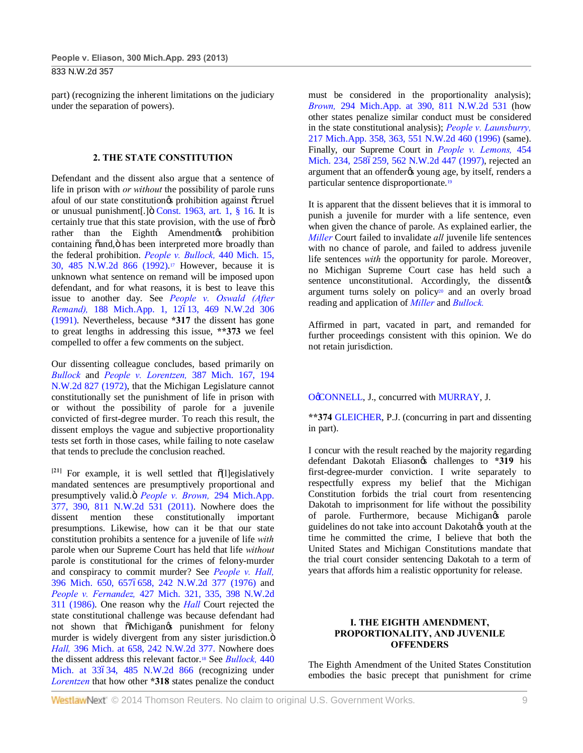part) (recognizing the inherent limitations on the judiciary under the separation of powers).

#### **2. THE STATE CONSTITUTION**

Defendant and the dissent also argue that a sentence of life in prison with *or without* the possibility of parole runs afoul of our state constitution os prohibition against ocruel or unusual punishment[.] $\ddot{o}$  Const. 1963, art. 1, § 16. It is certainly true that this state provision, with the use of õorö rather than the Eighth Amendment opposition containing õand, ö has been interpreted more broadly than the federal prohibition. *People v. Bullock,* 440 Mich. 15, 30, 485 N.W.2d 866 (1992).17 However, because it is unknown what sentence on remand will be imposed upon defendant, and for what reasons, it is best to leave this issue to another day. See *People v. Oswald (After Remand*), 188 Mich.App. 1, 12613, 469 N.W.2d 306 (1991). Nevertheless, because **\*317** the dissent has gone to great lengths in addressing this issue, **\*\*373** we feel compelled to offer a few comments on the subject.

Our dissenting colleague concludes, based primarily on *Bullock* and *People v. Lorentzen,* 387 Mich. 167, 194 N.W.2d 827 (1972), that the Michigan Legislature cannot constitutionally set the punishment of life in prison with or without the possibility of parole for a juvenile convicted of first-degree murder. To reach this result, the dissent employs the vague and subjective proportionality tests set forth in those cases, while failing to note caselaw that tends to preclude the conclusion reached.

 $[21]$  For example, it is well settled that  $\tilde{0}$ [l]egislatively mandated sentences are presumptively proportional and presumptively valid.ö People v. Brown, 294 Mich.App. 377, 390, 811 N.W.2d 531 (2011). Nowhere does the dissent mention these constitutionally important presumptions. Likewise, how can it be that our state constitution prohibits a sentence for a juvenile of life *with* parole when our Supreme Court has held that life *without* parole is constitutional for the crimes of felony-murder and conspiracy to commit murder? See *People v. Hall,* 396 Mich. 650, 6576658, 242 N.W.2d 377 (1976) and *People v. Fernandez,* 427 Mich. 321, 335, 398 N.W.2d 311 (1986). One reason why the *Hall* Court rejected the state constitutional challenge was because defendant had not shown that  $\tilde{\text{o}}$ Michigan $\text{g}$  punishment for felony murder is widely divergent from any sister jurisdiction. $\ddot{o}$ *Hall,* 396 Mich. at 658, 242 N.W.2d 377. Nowhere does the dissent address this relevant factor.18 See *Bullock,* 440 Mich. at 33634, 485 N.W.2d 866 (recognizing under *Lorentzen* that how other **\*318** states penalize the conduct must be considered in the proportionality analysis); *Brown,* 294 Mich.App. at 390, 811 N.W.2d 531 (how other states penalize similar conduct must be considered in the state constitutional analysis); *People v. Launsburry,* 217 Mich.App. 358, 363, 551 N.W.2d 460 (1996) (same). Finally, our Supreme Court in *People v. Lemons,* 454 Mich. 234, 2586259, 562 N.W.2d 447 (1997), rejected an argument that an offenderøs young age, by itself, renders a particular sentence disproportionate.19

It is apparent that the dissent believes that it is immoral to punish a juvenile for murder with a life sentence, even when given the chance of parole. As explained earlier, the *Miller* Court failed to invalidate *all* juvenile life sentences with no chance of parole, and failed to address juvenile life sentences *with* the opportunity for parole. Moreover, no Michigan Supreme Court case has held such a sentence unconstitutional. Accordingly, the dissentes argument turns solely on policy<sup>20</sup> and an overly broad reading and application of *Miller* and *Bullock.*

Affirmed in part, vacated in part, and remanded for further proceedings consistent with this opinion. We do not retain jurisdiction.

## OCONNELL, J., concurred with MURRAY, J.

**\*\*374** GLEICHER, P.J. (concurring in part and dissenting in part).

I concur with the result reached by the majority regarding defendant Dakotah Eliason<sub>®</sub> challenges to \*319 his first-degree-murder conviction. I write separately to respectfully express my belief that the Michigan Constitution forbids the trial court from resentencing Dakotah to imprisonment for life without the possibility of parole. Furthermore, because Michigangs parole guidelines do not take into account Dakotahos youth at the time he committed the crime, I believe that both the United States and Michigan Constitutions mandate that the trial court consider sentencing Dakotah to a term of years that affords him a realistic opportunity for release.

## **I. THE EIGHTH AMENDMENT, PROPORTIONALITY, AND JUVENILE OFFENDERS**

The Eighth Amendment of the United States Constitution embodies the basic precept that punishment for crime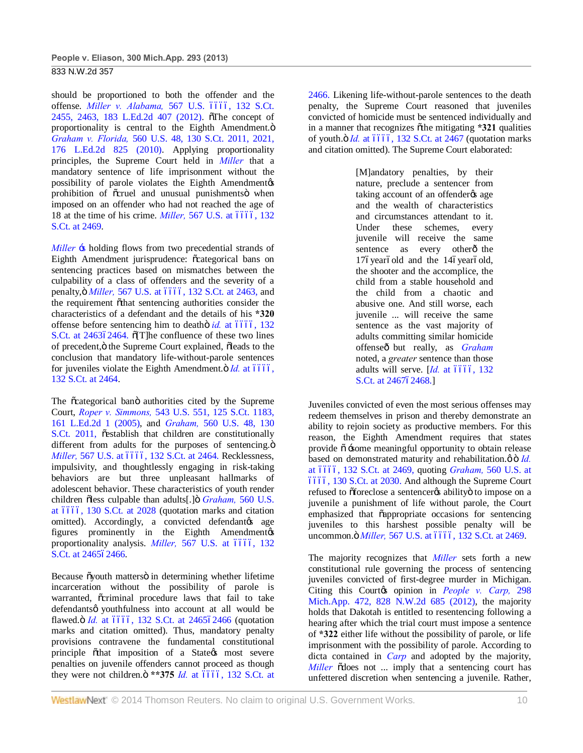should be proportioned to both the offender and the offense. *Miller v. Alabama*, 567 U.S. 6666, 132 S.Ct. 2455, 2463, 183 L.Ed.2d 407 (2012). The concept of proportionality is central to the Eighth Amendment. $\ddot{o}$ *Graham v. Florida,* 560 U.S. 48, 130 S.Ct. 2011, 2021, 176 L.Ed.2d 825 (2010). Applying proportionality principles, the Supreme Court held in *Miller* that a mandatory sentence of life imprisonment without the possibility of parole violates the Eighth Amendmentøs prohibition of ocruel and unusual punishments when imposed on an offender who had not reached the age of 18 at the time of his crime. *Miller*, 567 U.S. at 6666, 132 S.Ct. at 2469.

*Miller*  $\div$  holding flows from two precedential strands of Eighth Amendment jurisprudence:  $\tilde{c}$ categorical bans on sentencing practices based on mismatches between the culpability of a class of offenders and the severity of a penalty, ö *Miller*, 567 U.S. at 6666, 132 S.Ct. at 2463, and the requirement othat sentencing authorities consider the characteristics of a defendant and the details of his **\*320** offense before sentencing him to deatho *id.* at 6666, 132 S.Ct. at 246362464.  $\delta$ [T]he confluence of these two lines of precedent,  $\ddot{o}$  the Supreme Court explained,  $\ddot{o}$  leads to the conclusion that mandatory life-without-parole sentences for juveniles violate the Eighth Amendment. $\ddot{\text{o}}$  *Id.* at 6666, 132 S.Ct. at 2464.

The  $\tilde{c}$  categorical band authorities cited by the Supreme Court, *Roper v. Simmons,* 543 U.S. 551, 125 S.Ct. 1183, 161 L.Ed.2d 1 (2005), and *Graham,* 560 U.S. 48, 130 S.Ct. 2011, õestablish that children are constitutionally different from adults for the purposes of sentencing. $\ddot{o}$ *Miller,* 567 U.S. at 6666, 132 S.Ct. at 2464. Recklessness, impulsivity, and thoughtlessly engaging in risk-taking behaviors are but three unpleasant hallmarks of adolescent behavior. These characteristics of youth render children õless culpable than adults[.] ö *Graham*, 560 U.S. at 6666, 130 S.Ct. at 2028 (quotation marks and citation omitted). Accordingly, a convicted defendant age figures prominently in the Eighth Amendmentøs proportionality analysis. *Miller*, 567 U.S. at 6666, 132 S.Ct. at 246562466.

Because õyouth mattersö in determining whether lifetime incarceration without the possibility of parole is warranted,  $\tilde{o}$ criminal procedure laws that fail to take defendantsø youthfulness into account at all would be flawed. *id.* at 6666, 132 S.Ct. at 246562466 (quotation marks and citation omitted). Thus, mandatory penalty provisions contravene the fundamental constitutional principle othat imposition of a Stategs most severe penalties on juvenile offenders cannot proceed as though they were not children. $\ddot{o}$  \*\*375 *Id.* at 6666, 132 S.Ct. at

2466. Likening life-without-parole sentences to the death penalty, the Supreme Court reasoned that juveniles convicted of homicide must be sentenced individually and in a manner that recognizes othe mitigating **\*321** qualities of youth. $\ddot{o}$  *Id.* at 6666, 132 S.Ct. at 2467 (quotation marks and citation omitted). The Supreme Court elaborated:

> [M]andatory penalties, by their nature, preclude a sentencer from taking account of an offender% age and the wealth of characteristics and circumstances attendant to it. Under these schemes, every juvenile will receive the same sentence as every otherô the 176 year 6 old and the 146 year 6 old, the shooter and the accomplice, the child from a stable household and the child from a chaotic and abusive one. And still worse, each juvenile ... will receive the same sentence as the vast majority of adults committing similar homicide offenseô but really, as *Graham* noted, a *greater* sentence than those adults will serve. [Id. at 6666, 132 S.Ct. at 246762468.]

Juveniles convicted of even the most serious offenses may redeem themselves in prison and thereby demonstrate an ability to rejoin society as productive members. For this reason, the Eighth Amendment requires that states provide  $\tilde{o}$  -some meaningful opportunity to obtain release based on demonstrated maturity and rehabilitation. $\varnothing$  o<sup>*Id.*</sup> at 6666, 132 S.Ct. at 2469, quoting *Graham*, 560 U.S. at ––––, 130 S.Ct. at 2030. And although the Supreme Court refused to õforeclose a sentencerøs abilityö to impose on a juvenile a punishment of life without parole, the Court emphasized that  $\tilde{o}$ appropriate occasions for sentencing juveniles to this harshest possible penalty will be uncommon. ö *Miller*, 567 U.S. at 6666, 132 S.Ct. at 2469.

The majority recognizes that *Miller* sets forth a new constitutional rule governing the process of sentencing juveniles convicted of first-degree murder in Michigan. Citing this Court*g*s opinion in *People v. Carp*, 298 Mich.App. 472, 828 N.W.2d 685 (2012), the majority holds that Dakotah is entitled to resentencing following a hearing after which the trial court must impose a sentence of **\*322** either life without the possibility of parole, or life imprisonment with the possibility of parole. According to dicta contained in *Carp* and adopted by the majority, *Miller*  $\delta$  does not ... imply that a sentencing court has unfettered discretion when sentencing a juvenile. Rather,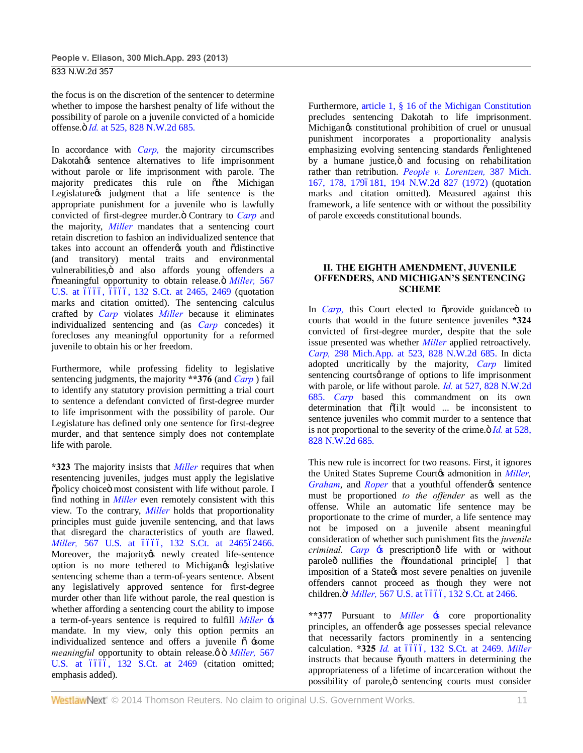the focus is on the discretion of the sentencer to determine whether to impose the harshest penalty of life without the possibility of parole on a juvenile convicted of a homicide offense. $\ddot{o}$  *Id.* at 525, 828 N.W.2d 685.

In accordance with *Carp,* the majority circumscribes Dakotah<sub>os</sub> sentence alternatives to life imprisonment without parole or life imprisonment with parole. The majority predicates this rule on õthe Michigan Legislature *is* judgment that a life sentence is the appropriate punishment for a juvenile who is lawfully convicted of first-degree murder.<sup>"</sup> Contrary to *Carp* and the majority, *Miller* mandates that a sentencing court retain discretion to fashion an individualized sentence that takes into account an offender to youth and odistinctive (and transitory) mental traits and environmental vulnerabilities, ö and also affords young offenders a  $\delta$ meaningful opportunity to obtain release. $\delta$  *Miller,* 567 U.S. at 6666, 6666, 132 S.Ct. at 2465, 2469 (quotation marks and citation omitted). The sentencing calculus crafted by *Carp* violates *Miller* because it eliminates individualized sentencing and (as *Carp* concedes) it forecloses any meaningful opportunity for a reformed juvenile to obtain his or her freedom.

Furthermore, while professing fidelity to legislative sentencing judgments, the majority **\*\*376** (and *Carp* ) fail to identify any statutory provision permitting a trial court to sentence a defendant convicted of first-degree murder to life imprisonment with the possibility of parole. Our Legislature has defined only one sentence for first-degree murder, and that sentence simply does not contemplate life with parole.

**\*323** The majority insists that *Miller* requires that when resentencing juveniles, judges must apply the legislative õpolicy choiceö most consistent with life without parole. I find nothing in *Miller* even remotely consistent with this view. To the contrary, *Miller* holds that proportionality principles must guide juvenile sentencing, and that laws that disregard the characteristics of youth are flawed. *Miller*, 567 U.S. at 6666, 132 S.Ct. at 246562466. Moreover, the majority tnewly created life-sentence option is no more tethered to Michigangs legislative sentencing scheme than a term-of-years sentence. Absent any legislatively approved sentence for first-degree murder other than life without parole, the real question is whether affording a sentencing court the ability to impose a term-of-years sentence is required to fulfill *Miller* 's mandate. In my view, only this option permits an individualized sentence and offers a juvenile  $\tilde{o}$  -some *meaningful* opportunity to obtain release. $\phi$  ö *Miller*, 567 U.S. at 6666, 132 S.Ct. at 2469 (citation omitted; emphasis added).

Furthermore, article 1, § 16 of the Michigan Constitution precludes sentencing Dakotah to life imprisonment. Michigan $\alpha$  constitutional prohibition of cruel or unusual punishment incorporates a proportionality analysis emphasizing evolving sentencing standards õenlightened by a humane justice, o and focusing on rehabilitation rather than retribution. *People v. Lorentzen,* 387 Mich. 167, 178, 1796181, 194 N.W.2d 827 (1972) (quotation marks and citation omitted). Measured against this framework, a life sentence with or without the possibility of parole exceeds constitutional bounds.

## **II. THE EIGHTH AMENDMENT, JUVENILE OFFENDERS, AND MICHIGAN'S SENTENCING SCHEME**

In *Carp*, this Court elected to õprovide guidance oto courts that would in the future sentence juveniles **\*324** convicted of first-degree murder, despite that the sole issue presented was whether *Miller* applied retroactively. *Carp,* 298 Mich.App. at 523, 828 N.W.2d 685. In dicta adopted uncritically by the majority, *Carp* limited sentencing courts *o* range of options to life imprisonment with parole, or life without parole. *Id.* at 527, 828 N.W.2d 685. *Carp* based this commandment on its own determination that  $\tilde{o}[i]$ t would ... be inconsistent to sentence juveniles who commit murder to a sentence that is not proportional to the severity of the crime. $\ddot{\text{o}}$  *Id.* at 528, 828 N.W.2d 685.

This new rule is incorrect for two reasons. First, it ignores the United States Supreme Courtos admonition in *Miller*, *Graham*, and *Roper* that a vouthful offender *o*s sentence must be proportioned *to the offender* as well as the offense. While an automatic life sentence may be proportionate to the crime of murder, a life sentence may not be imposed on a juvenile absent meaningful consideration of whether such punishment fits the *juvenile criminal. Carp*  $\div$  prescription<sup> $\hat{o}$ </sup> life with or without paroleô nullifies the offoundational principle i that imposition of a State *most* severe penalties on juvenile offenders cannot proceed as though they were not children.ö<sup>*l</sup> Miller*, 567 U.S. at 6666, 132 S.Ct. at 2466.</sup>

**\*\*377** Pursuant to *Miller* 's core proportionality principles, an offender $\alpha$  age possesses special relevance that necessarily factors prominently in a sentencing calculation. **\*325** *Id.* at 6666, 132 S.Ct. at 2469. Miller instructs that because  $\tilde{\text{o}}$ youth matters in determining the appropriateness of a lifetime of incarceration without the possibility of parole, ö sentencing courts must consider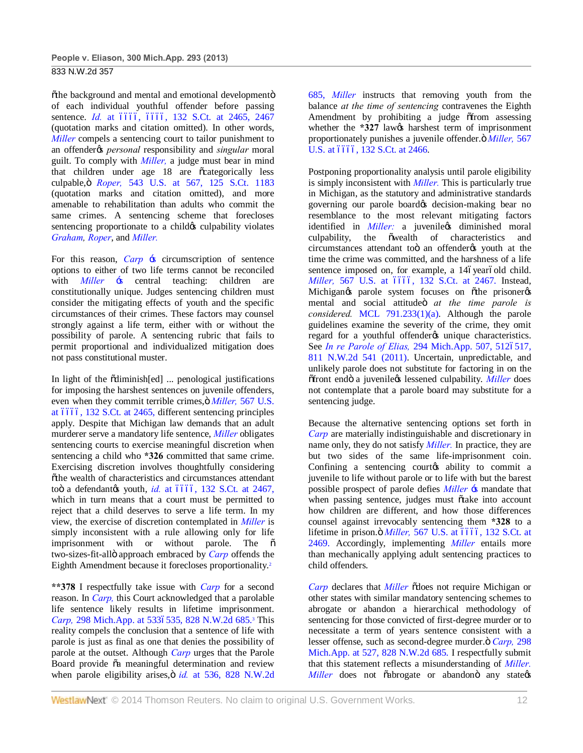õthe background and mental and emotional developmentö of each individual youthful offender before passing sentence. *Id.* at 6666, 6666, 132 S.Ct. at 2465, 2467 (quotation marks and citation omitted). In other words, *Miller* compels a sentencing court to tailor punishment to an offender*g*s *personal* responsibility and *singular* moral guilt. To comply with *Miller,* a judge must bear in mind that children under age 18 are õcategorically less culpable," *Roper,* 543 U.S. at 567, 125 S.Ct. 1183 (quotation marks and citation omitted), and more amenable to rehabilitation than adults who commit the same crimes. A sentencing scheme that forecloses sentencing proportionate to a child  $\alpha$  culpability violates *Graham, Roper*, and *Miller.*

For this reason, *Carp*  $\div$  s circumscription of sentence options to either of two life terms cannot be reconciled with *Miller*  $\div$  sentral teaching: children are constitutionally unique. Judges sentencing children must consider the mitigating effects of youth and the specific circumstances of their crimes. These factors may counsel strongly against a life term, either with or without the possibility of parole. A sentencing rubric that fails to permit proportional and individualized mitigation does not pass constitutional muster.

In light of the  $\tilde{\text{o}}$ diminish[ed] ... penological justifications for imposing the harshest sentences on juvenile offenders, even when they commit terrible crimes,  $\ddot{\text{o}}$  *Miller*, 567 U.S. at 6666, 132 S.Ct. at 2465, different sentencing principles apply. Despite that Michigan law demands that an adult murderer serve a mandatory life sentence, *Miller* obligates sentencing courts to exercise meaningful discretion when sentencing a child who **\*326** committed that same crime. Exercising discretion involves thoughtfully considering õthe wealth of characteristics and circumstances attendant toö a defendantøs youth, *id.* at 6666, 132 S.Ct. at 2467, which in turn means that a court must be permitted to reject that a child deserves to serve a life term. In my view, the exercise of discretion contemplated in *Miller* is simply inconsistent with a rule allowing only for life imprisonment with or without parole. The  $\tilde{o}$ two-sizes-fit-allö approach embraced by *Carp* offends the Eighth Amendment because it forecloses proportionality.2

**\*\*378** I respectfully take issue with *Carp* for a second reason. In *Carp,* this Court acknowledged that a parolable life sentence likely results in lifetime imprisonment. *Carp*, 298 Mich.App. at 5336535, 828 N.W.2d 685.<sup>3</sup> This reality compels the conclusion that a sentence of life with parole is just as final as one that denies the possibility of parole at the outset. Although *Carp* urges that the Parole Board provide õa meaningful determination and review when parole eligibility arises, ö *id.* at 536, 828 N.W.2d 685, *Miller* instructs that removing youth from the balance *at the time of sentencing* contravenes the Eighth Amendment by prohibiting a judge  $\delta$  from assessing whether the **\*327** law<sub>*i*</sub> harshest term of imprisonment proportionately punishes a juvenile offender. $\ddot{\text{o}}$  *Miller*, 567 U.S. at 6666, 132 S.Ct. at 2466.

Postponing proportionality analysis until parole eligibility is simply inconsistent with *Miller.* This is particularly true in Michigan, as the statutory and administrative standards governing our parole board os decision-making bear no resemblance to the most relevant mitigating factors identified in *Miller*: a juvenilegs diminished moral culpability, the  $\tilde{o}$  wealth of characteristics and circumstances attendant too an offender to youth at the time the crime was committed, and the harshness of a life sentence imposed on, for example, a 14óyearóold child. *Miller,* 567 U.S. at 6666, 132 S.Ct. at 2467. Instead, Michigan $\circ$ s parole system focuses on õthe prisoner $\circ$ s mental and social attitudeö at the time parole is *considered.* MCL 791.233(1)(a). Although the parole guidelines examine the severity of the crime, they omit regard for a youthful offender<sub>%</sub> unique characteristics. See *In re Parole of Elias*, 294 Mich.App. 507, 5126517, 811 N.W.2d 541 (2011). Uncertain, unpredictable, and unlikely parole does not substitute for factoring in on the  $\delta$ front endö a juvenile $\alpha$  lessened culpability. *Miller* does not contemplate that a parole board may substitute for a sentencing judge.

Because the alternative sentencing options set forth in *Carp* are materially indistinguishable and discretionary in name only, they do not satisfy *Miller.* In practice, they are but two sides of the same life-imprisonment coin. Confining a sentencing courtes ability to commit a juvenile to life without parole or to life with but the barest possible prospect of parole defies *Miller* 's mandate that when passing sentence, judges must õtake into account how children are different, and how those differences counsel against irrevocably sentencing them **\*328** to a lifetime in prison. $\ddot{\text{o}}$  *Miller*, 567 U.S. at 6666, 132 S.Ct. at 2469. Accordingly, implementing *Miller* entails more than mechanically applying adult sentencing practices to child offenders.

*Carp* declares that *Miller*  $\delta$ does not require Michigan or other states with similar mandatory sentencing schemes to abrogate or abandon a hierarchical methodology of sentencing for those convicted of first-degree murder or to necessitate a term of years sentence consistent with a lesser offense, such as second-degree murder.  $G$  Carp, 298 Mich.App. at 527, 828 N.W.2d 685. I respectfully submit that this statement reflects a misunderstanding of *Miller. Miller* does not õabrogate or abandonö any stategs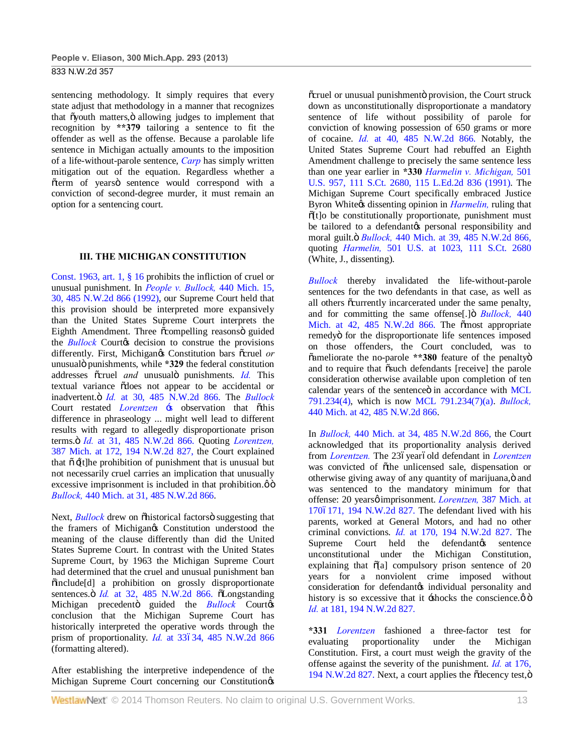sentencing methodology. It simply requires that every state adjust that methodology in a manner that recognizes that õyouth matters, ö allowing judges to implement that recognition by **\*\*379** tailoring a sentence to fit the offender as well as the offense. Because a parolable life sentence in Michigan actually amounts to the imposition of a life-without-parole sentence, *Carp* has simply written mitigation out of the equation. Regardless whether a õterm of yearsö sentence would correspond with a conviction of second-degree murder, it must remain an option for a sentencing court.

## **III. THE MICHIGAN CONSTITUTION**

Const. 1963, art. 1, § 16 prohibits the infliction of cruel or unusual punishment. In *People v. Bullock,* 440 Mich. 15, 30, 485 N.W.2d 866 (1992), our Supreme Court held that this provision should be interpreted more expansively than the United States Supreme Court interprets the Eighth Amendment. Three ocompelling reasonso guided the *Bullock* Courtos decision to construe the provisions differently. First, Michigan $\alpha$  Constitution bars ocruel or unusualö punishments, while **\*329** the federal constitution addresses õcruel *and* unusualö punishments. *Id.* This textual variance  $\delta$ does not appear to be accidental or inadvertent." *Id.* at 30, 485 N.W.2d 866. The *Bullock* Court restated *Lorentzen* :s observation that othis difference in phraseology ... might well lead to different results with regard to allegedly disproportionate prison terms." *Id.* at 31, 485 N.W.2d 866. Quoting *Lorentzen,* 387 Mich. at 172, 194 N.W.2d 827, the Court explained that  $\tilde{o}$   $\tilde{f}$ t]he prohibition of punishment that is unusual but not necessarily cruel carries an implication that unusually excessive imprisonment is included in that prohibition. $\phi$   $\ddot{\text{o}}$ *Bullock,* 440 Mich. at 31, 485 N.W.2d 866.

Next, *Bullock* drew on *õhistorical* factors ö suggesting that the framers of Michigangs Constitution understood the meaning of the clause differently than did the United States Supreme Court. In contrast with the United States Supreme Court, by 1963 the Michigan Supreme Court had determined that the cruel and unusual punishment ban "include[d] a prohibition on grossly disproportionate sentences. *Id.* at 32, 485 N.W.2d 866.  $\delta$ Longstanding Michigan precedento guided the *Bullock* Courtos conclusion that the Michigan Supreme Court has historically interpreted the operative words through the prism of proportionality. *Id.* at 33634, 485 N.W.2d 866 (formatting altered).

After establishing the interpretive independence of the Michigan Supreme Court concerning our Constitution<sub>®</sub>

õcruel or unusual punishmentö provision, the Court struck down as unconstitutionally disproportionate a mandatory sentence of life without possibility of parole for conviction of knowing possession of 650 grams or more of cocaine. *Id.* at 40, 485 N.W.2d 866. Notably, the United States Supreme Court had rebuffed an Eighth Amendment challenge to precisely the same sentence less than one year earlier in **\*330** *Harmelin v. Michigan,* 501 U.S. 957, 111 S.Ct. 2680, 115 L.Ed.2d 836 (1991). The Michigan Supreme Court specifically embraced Justice Byron White<sub>%</sub> dissenting opinion in *Harmelin*, ruling that  $\tilde{0}$ [t]o be constitutionally proportionate, punishment must be tailored to a defendant to personal responsibility and moral guilt." *Bullock,* 440 Mich. at 39, 485 N.W.2d 866, quoting *Harmelin,* 501 U.S. at 1023, 111 S.Ct. 2680 (White, J., dissenting).

*Bullock* thereby invalidated the life-without-parole sentences for the two defendants in that case, as well as all others  $\tilde{\text{c}}$ currently incarcerated under the same penalty, and for committing the same offense<sup>[1]</sup> *Bullock*, 440 Mich. at 42, 485 N.W.2d 866. The õmost appropriate remedyö for the disproportionate life sentences imposed on those offenders, the Court concluded, was to  $\tilde{\text{o}}$ ameliorate the no-parole \*\*380 feature of the penaltyo and to require that  $\tilde{\text{o}}$ such defendants [receive] the parole consideration otherwise available upon completion of ten calendar years of the sentenceö in accordance with MCL 791.234(4), which is now MCL 791.234(7)(a). *Bullock,* 440 Mich. at 42, 485 N.W.2d 866.

In *Bullock,* 440 Mich. at 34, 485 N.W.2d 866, the Court acknowledged that its proportionality analysis derived from *Lorentzen*. The 23óyearóold defendant in *Lorentzen* was convicted of othe unlicensed sale, dispensation or otherwise giving away of any quantity of marijuana, ö and was sentenced to the mandatory minimum for that offense: 20 yearsø imprisonment. *Lorentzen*, 387 Mich. at 1706171, 194 N.W.2d 827. The defendant lived with his parents, worked at General Motors, and had no other criminal convictions. *Id.* at 170, 194 N.W.2d 827. The Supreme Court held the defendant ts sentence unconstitutional under the Michigan Constitution, explaining that  $\tilde{o}[a]$  compulsory prison sentence of 20 years for a nonviolent crime imposed without consideration for defendantos individual personality and history is so excessive that it  $\pm$ shocks the conscience. $\phi$   $\ddot{\circ}$ *Id.* at 181, 194 N.W.2d 827.

**\*331** *Lorentzen* fashioned a three-factor test for evaluating proportionality under the Michigan Constitution. First, a court must weigh the gravity of the offense against the severity of the punishment. *Id.* at 176, 194 N.W.2d 827. Next, a court applies the  $\delta$  decency test, $\ddot{\text{o}}$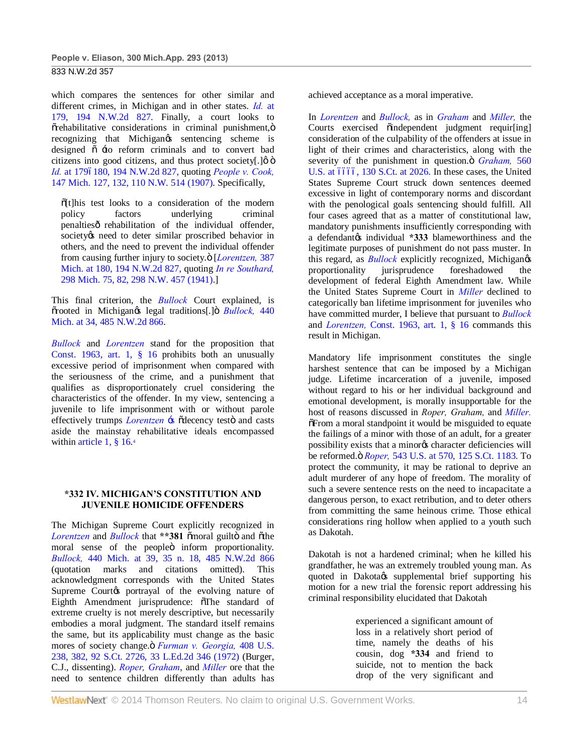which compares the sentences for other similar and different crimes, in Michigan and in other states. *Id.* at 179, 194 N.W.2d 827. Finally, a court looks to  $\tilde{\sigma}$ rehabilitative considerations in criminal punishment, $\ddot{\sigma}$ recognizing that Michigan $\alpha$  sentencing scheme is designed  $\ddot{o}$   $\pm o$  reform criminals and to convert bad citizens into good citizens, and thus protect society $[.]$   $\emptyset$   $\emptyset$ *Id.* at 1796180, 194 N.W.2d 827, quoting *People v. Cook,* 147 Mich. 127, 132, 110 N.W. 514 (1907). Specifically,

 $\tilde{o}$ [t]his test looks to a consideration of the modern policy factors underlying criminal penaltiesô rehabilitation of the individual offender, society *is* need to deter similar proscribed behavior in others, and the need to prevent the individual offender from causing further injury to society. $\ddot{o}$  [*Lorentzen,* 387 Mich. at 180, 194 N.W.2d 827, quoting *In re Southard,* 298 Mich. 75, 82, 298 N.W. 457 (1941).]

This final criterion, the *Bullock* Court explained, is  $\tilde{\sigma}$ rooted in Michigan $\alpha$  legal traditions[.]  $\ddot{\sigma}$  *Bullock*, 440 Mich. at 34, 485 N.W.2d 866.

*Bullock* and *Lorentzen* stand for the proposition that Const. 1963, art. 1, § 16 prohibits both an unusually excessive period of imprisonment when compared with the seriousness of the crime, and a punishment that qualifies as disproportionately cruel considering the characteristics of the offender. In my view, sentencing a juvenile to life imprisonment with or without parole effectively trumps *Lorentzen*  $\div$ s  $\tilde{\theta}$  decency testo and casts aside the mainstay rehabilitative ideals encompassed within article 1, 8 16.4

## **\*332 IV. MICHIGAN'S CONSTITUTION AND JUVENILE HOMICIDE OFFENDERS**

The Michigan Supreme Court explicitly recognized in *Lorentzen* and *Bullock* that \*\*381  $\tilde{\text{a}}$  moral guilto and  $\tilde{\text{a}}$  the moral sense of the peopleö inform proportionality. *Bullock,* 440 Mich. at 39, 35 n. 18, 485 N.W.2d 866 (quotation marks and citations omitted). This acknowledgment corresponds with the United States Supreme Courtos portrayal of the evolving nature of Eighth Amendment jurisprudence:  $\delta$ The standard of extreme cruelty is not merely descriptive, but necessarily embodies a moral judgment. The standard itself remains the same, but its applicability must change as the basic mores of society change. *ö Furman v. Georgia*, 408 U.S. 238, 382, 92 S.Ct. 2726, 33 L.Ed.2d 346 (1972) (Burger, C.J., dissenting). *Roper, Graham*, and *Miller* ore that the need to sentence children differently than adults has

achieved acceptance as a moral imperative.

In *Lorentzen* and *Bullock,* as in *Graham* and *Miller,* the Courts exercised oindependent judgment requir[ing] consideration of the culpability of the offenders at issue in light of their crimes and characteristics, along with the severity of the punishment in question. $\ddot{\text{o}}$  *Graham*, 560 U.S. at 6666, 130 S.Ct. at 2026. In these cases, the United States Supreme Court struck down sentences deemed excessive in light of contemporary norms and discordant with the penological goals sentencing should fulfill. All four cases agreed that as a matter of constitutional law, mandatory punishments insufficiently corresponding with a defendantos individual **\*333** blameworthiness and the legitimate purposes of punishment do not pass muster. In this regard, as *Bullock* explicitly recognized, Michigangs proportionality jurisprudence foreshadowed the development of federal Eighth Amendment law. While the United States Supreme Court in *Miller* declined to categorically ban lifetime imprisonment for juveniles who have committed murder, I believe that pursuant to *Bullock* and *Lorentzen,* Const. 1963, art. 1, § 16 commands this result in Michigan.

Mandatory life imprisonment constitutes the single harshest sentence that can be imposed by a Michigan judge. Lifetime incarceration of a juvenile, imposed without regard to his or her individual background and emotional development, is morally insupportable for the host of reasons discussed in *Roper, Graham,* and *Miller.*  $\delta$ From a moral standpoint it would be misguided to equate the failings of a minor with those of an adult, for a greater possibility exists that a minor os character deficiencies will be reformed." *Roper,* 543 U.S. at 570, 125 S.Ct. 1183. To protect the community, it may be rational to deprive an adult murderer of any hope of freedom. The morality of such a severe sentence rests on the need to incapacitate a dangerous person, to exact retribution, and to deter others from committing the same heinous crime. Those ethical considerations ring hollow when applied to a youth such as Dakotah.

Dakotah is not a hardened criminal; when he killed his grandfather, he was an extremely troubled young man. As quoted in Dakotags supplemental brief supporting his motion for a new trial the forensic report addressing his criminal responsibility elucidated that Dakotah

> experienced a significant amount of loss in a relatively short period of time, namely the deaths of his cousin, dog **\*334** and friend to suicide, not to mention the back drop of the very significant and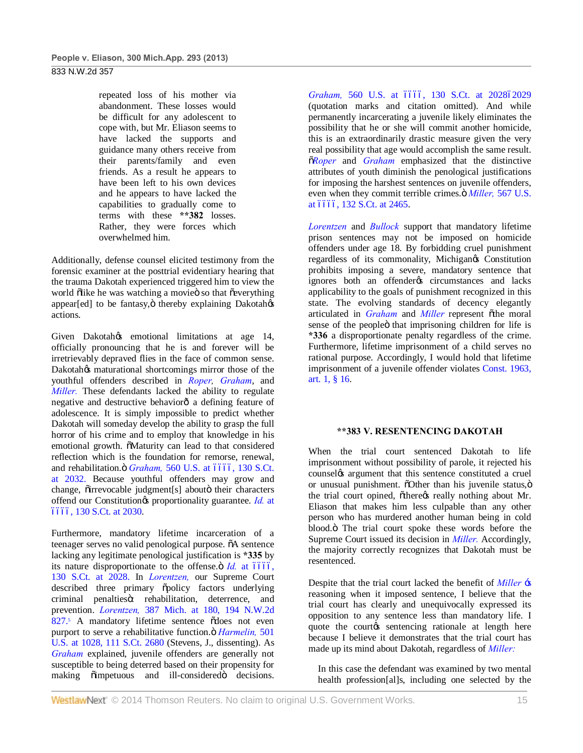repeated loss of his mother via abandonment. These losses would be difficult for any adolescent to cope with, but Mr. Eliason seems to have lacked the supports and guidance many others receive from their parents/family and even friends. As a result he appears to have been left to his own devices and he appears to have lacked the capabilities to gradually come to terms with these **\*\*382** losses. Rather, they were forces which overwhelmed him.

Additionally, defense counsel elicited testimony from the forensic examiner at the posttrial evidentiary hearing that the trauma Dakotah experienced triggered him to view the world õlike he was watching a movieö so that õeverything appear[ed] to be fantasy, $\ddot{o}$  thereby explaining Dakotah $\alpha$ actions.

Given Dakotahos emotional limitations at age 14, officially pronouncing that he is and forever will be irretrievably depraved flies in the face of common sense. Dakotah $\circ$ s maturational shortcomings mirror those of the youthful offenders described in *Roper, Graham*, and *Miller*. These defendants lacked the ability to regulate negative and destructive behaviorô a defining feature of adolescence. It is simply impossible to predict whether Dakotah will someday develop the ability to grasp the full horror of his crime and to employ that knowledge in his emotional growth.  $\delta$ Maturity can lead to that considered reflection which is the foundation for remorse, renewal, and rehabilitation. ö *Graham*, 560 U.S. at 6666, 130 S.Ct. at 2032. Because youthful offenders may grow and change,  $\tilde{o}$ irrevocable judgment[s] about $\ddot{o}$  their characters offend our Constitution's proportionality guarantee. *Id.* at ––––, 130 S.Ct. at 2030.

Furthermore, mandatory lifetime incarceration of a teenager serves no valid penological purpose.  $\tilde{o}A$  sentence lacking any legitimate penological justification is **\*335** by its nature disproportionate to the offense. $\ddot{\text{o}}$  *Id.* at  $\acute{o}$  6666. 130 S.Ct. at 2028. In *Lorentzen,* our Supreme Court described three primary õpolicy factors underlying criminal penaltiesö: rehabilitation, deterrence, and prevention. *Lorentzen,* 387 Mich. at 180, 194 N.W.2d  $827.5$  A mandatory lifetime sentence  $\delta$ does not even purport to serve a rehabilitative function. *ö Harmelin*, 501 U.S. at 1028, 111 S.Ct. 2680 (Stevens, J., dissenting). As *Graham* explained, juvenile offenders are generally not susceptible to being deterred based on their propensity for making  $\tilde{o}$  impetuous and ill-considered $\ddot{o}$  decisions.

Graham, 560 U.S. at 6666, 130 S.Ct. at 202862029 (quotation marks and citation omitted). And while permanently incarcerating a juvenile likely eliminates the possibility that he or she will commit another homicide, this is an extraordinarily drastic measure given the very real possibility that age would accomplish the same result. "*Roper* and *Graham* emphasized that the distinctive attributes of youth diminish the penological justifications for imposing the harshest sentences on juvenile offenders, even when they commit terrible crimes. $\ddot{\text{o}}$  *Miller*, 567 U.S. at 6666, 132 S.Ct. at 2465.

*Lorentzen* and *Bullock* support that mandatory lifetime prison sentences may not be imposed on homicide offenders under age 18. By forbidding cruel punishment regardless of its commonality, Michigangs Constitution prohibits imposing a severe, mandatory sentence that ignores both an offender os circumstances and lacks applicability to the goals of punishment recognized in this state. The evolving standards of decency elegantly articulated in *Graham* and *Miller* represent othe moral sense of the peopleö that imprisoning children for life is **\*336** a disproportionate penalty regardless of the crime. Furthermore, lifetime imprisonment of a child serves no rational purpose. Accordingly, I would hold that lifetime imprisonment of a juvenile offender violates Const. 1963, art. 1, § 16.

#### **\*\*383 V. RESENTENCING DAKOTAH**

When the trial court sentenced Dakotah to life imprisonment without possibility of parole, it rejected his counsel *a* argument that this sentence constituted a cruel or unusual punishment.  $\delta$ Other than his juvenile status,  $\ddot{\text{o}}$ the trial court opined, õthere $\alpha$  really nothing about Mr. Eliason that makes him less culpable than any other person who has murdered another human being in cold blood.<sup>"</sup> The trial court spoke these words before the Supreme Court issued its decision in *Miller.* Accordingly, the majority correctly recognizes that Dakotah must be resentenced.

Despite that the trial court lacked the benefit of *Miller* 's reasoning when it imposed sentence, I believe that the trial court has clearly and unequivocally expressed its opposition to any sentence less than mandatory life. I quote the courtos sentencing rationale at length here because I believe it demonstrates that the trial court has made up its mind about Dakotah, regardless of *Miller:*

In this case the defendant was examined by two mental health profession[al]s, including one selected by the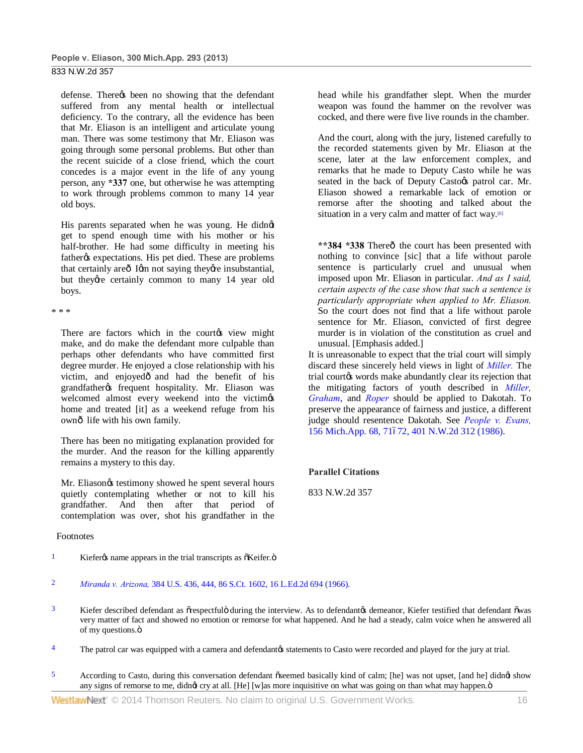defense. There t been no showing that the defendant suffered from any mental health or intellectual deficiency. To the contrary, all the evidence has been that Mr. Eliason is an intelligent and articulate young man. There was some testimony that Mr. Eliason was going through some personal problems. But other than the recent suicide of a close friend, which the court concedes is a major event in the life of any young person, any **\*337** one, but otherwise he was attempting to work through problems common to many 14 year old boys.

His parents separated when he was young. He didnøt get to spend enough time with his mother or his half-brother. He had some difficulty in meeting his father<sub>%</sub> expectations. His pet died. These are problems that certainly are  $\delta$  Igm not saying they are insubstantial. but they're certainly common to many 14 year old boys.

\* \* \*

There are factors which in the courtos view might make, and do make the defendant more culpable than perhaps other defendants who have committed first degree murder. He enjoyed a close relationship with his victim, and enjoyedô and had the benefit of his grandfather% frequent hospitality. Mr. Eliason was welcomed almost every weekend into the victimes home and treated [it] as a weekend refuge from his ownô life with his own family.

There has been no mitigating explanation provided for the murder. And the reason for the killing apparently remains a mystery to this day.

Mr. Eliason $\alpha$  testimony showed he spent several hours quietly contemplating whether or not to kill his grandfather. And then after that period of contemplation was over, shot his grandfather in the

#### Footnotes

- $1$  Kiefer $\alpha$  name appears in the trial transcripts as  $\tilde{o}$ Keifer. $\tilde{o}$
- 2 *Miranda v. Arizona,* 384 U.S. 436, 444, 86 S.Ct. 1602, 16 L.Ed.2d 694 (1966).
- $3$  Kiefer described defendant as  $\tilde{o}$ respectful $\ddot{o}$  during the interview. As to defendant $\alpha$  demeanor, Kiefer testified that defendant  $\tilde{o}$ was very matter of fact and showed no emotion or remorse for what happened. And he had a steady, calm voice when he answered all of my questions. $\ddot{o}$
- <sup>4</sup> The patrol car was equipped with a camera and defendant to statements to Casto were recorded and played for the jury at trial.
- 5 According to Casto, during this conversation defendant  $\tilde{o}$  seemed basically kind of calm; [he] was not upset, [and he] didnet show any signs of remorse to me, didnot cry at all. [He] [w]as more inquisitive on what was going on than what may happen. $\ddot{o}$

head while his grandfather slept. When the murder weapon was found the hammer on the revolver was cocked, and there were five live rounds in the chamber.

And the court, along with the jury, listened carefully to the recorded statements given by Mr. Eliason at the scene, later at the law enforcement complex, and remarks that he made to Deputy Casto while he was seated in the back of Deputy Castoøs patrol car. Mr. Eliason showed a remarkable lack of emotion or remorse after the shooting and talked about the situation in a very calm and matter of fact way.<sup>[6]</sup>

\*\*384 \*338 Thereô the court has been presented with nothing to convince [sic] that a life without parole sentence is particularly cruel and unusual when imposed upon Mr. Eliason in particular. *And as I said, certain aspects of the case show that such a sentence is particularly appropriate when applied to Mr. Eliason.* So the court does not find that a life without parole sentence for Mr. Eliason, convicted of first degree murder is in violation of the constitution as cruel and unusual. [Emphasis added.]

It is unreasonable to expect that the trial court will simply discard these sincerely held views in light of *Miller.* The trial courtøs words make abundantly clear its rejection that the mitigating factors of youth described in *Miller, Graham*, and *Roper* should be applied to Dakotah. To preserve the appearance of fairness and justice, a different judge should resentence Dakotah. See *People v. Evans,* 156 Mich.App. 68, 71672, 401 N.W.2d 312 (1986).

## **Parallel Citations**

833 N.W.2d 357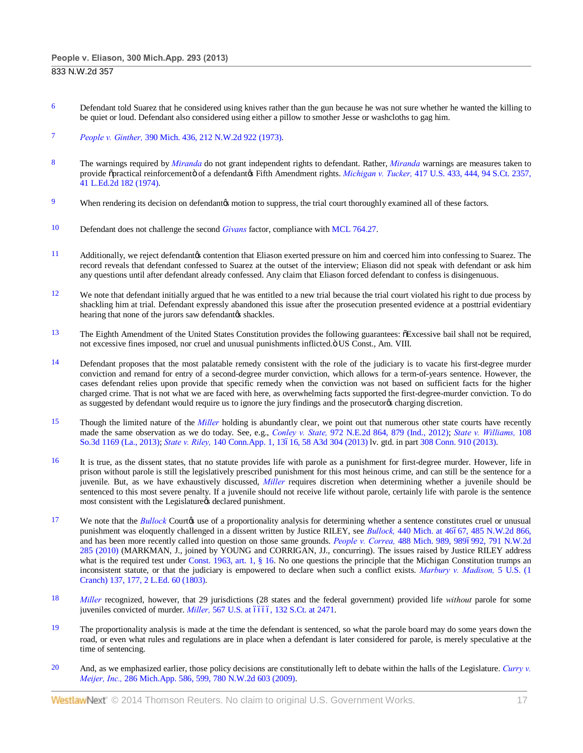- <sup>6</sup> Defendant told Suarez that he considered using knives rather than the gun because he was not sure whether he wanted the killing to be quiet or loud. Defendant also considered using either a pillow to smother Jesse or washcloths to gag him.
- 7 *People v. Ginther,* 390 Mich. 436, 212 N.W.2d 922 (1973).
- 8 The warnings required by *Miranda* do not grant independent rights to defendant. Rather, *Miranda* warnings are measures taken to provide õpractical reinforcementö of a defendantøs Fifth Amendment rights. *Michigan v. Tucker*, 417 U.S. 433, 444, 94 S.Ct. 2357, 41 L.Ed.2d 182 (1974).
- 9 When rendering its decision on defendant ts motion to suppress, the trial court thoroughly examined all of these factors.
- 10 Defendant does not challenge the second *Givans* factor, compliance with MCL 764.27.
- 11 Additionally, we reject defendantos contention that Eliason exerted pressure on him and coerced him into confessing to Suarez. The record reveals that defendant confessed to Suarez at the outset of the interview; Eliason did not speak with defendant or ask him any questions until after defendant already confessed. Any claim that Eliason forced defendant to confess is disingenuous.
- $12$  We note that defendant initially argued that he was entitled to a new trial because the trial court violated his right to due process by shackling him at trial. Defendant expressly abandoned this issue after the prosecution presented evidence at a posttrial evidentiary hearing that none of the jurors saw defendantøs shackles.
- <sup>13</sup> The Eighth Amendment of the United States Constitution provides the following guarantees:  $\delta$ Excessive bail shall not be required, not excessive fines imposed, nor cruel and unusual punishments inflicted. ö US Const., Am. VIII.
- $14$  Defendant proposes that the most palatable remedy consistent with the role of the judiciary is to vacate his first-degree murder conviction and remand for entry of a second-degree murder conviction, which allows for a term-of-years sentence. However, the cases defendant relies upon provide that specific remedy when the conviction was not based on sufficient facts for the higher charged crime. That is not what we are faced with here, as overwhelming facts supported the first-degree-murder conviction. To do as suggested by defendant would require us to ignore the jury findings and the prosecutorys charging discretion.
- 15 Though the limited nature of the *Miller* holding is abundantly clear, we point out that numerous other state courts have recently made the same observation as we do today. See, e.g., *Conley v. State,* 972 N.E.2d 864, 879 (Ind., 2012); *State v. Williams,* 108 So.3d 1169 (La., 2013); *State v. Riley*, 140 Conn.App. 1, 13616, 58 A3d 304 (2013) lv. gtd. in part 308 Conn. 910 (2013).
- 16 It is true, as the dissent states, that no statute provides life with parole as a punishment for first-degree murder. However, life in prison without parole is still the legislatively prescribed punishment for this most heinous crime, and can still be the sentence for a juvenile. But, as we have exhaustively discussed, *Miller* requires discretion when determining whether a juvenile should be sentenced to this most severe penalty. If a juvenile should not receive life without parole, certainly life with parole is the sentence most consistent with the Legislature & declared punishment.
- <sup>17</sup> We note that the *Bullock* Court*o*s use of a proportionality analysis for determining whether a sentence constitutes cruel or unusual punishment was eloquently challenged in a dissent written by Justice RILEY, see *Bullock*, 440 Mich. at 46667, 485 N.W.2d 866, and has been more recently called into question on those same grounds. *People v. Correa*, 488 Mich. 989, 9896992, 791 N.W.2d 285 (2010) (MARKMAN, J., joined by YOUNG and CORRIGAN, JJ., concurring). The issues raised by Justice RILEY address what is the required test under Const. 1963, art. 1, § 16. No one questions the principle that the Michigan Constitution trumps an inconsistent statute, or that the judiciary is empowered to declare when such a conflict exists. *Marbury v. Madison,* 5 U.S. (1 Cranch) 137, 177, 2 L.Ed. 60 (1803).
- 18 *Miller* recognized, however, that 29 jurisdictions (28 states and the federal government) provided life *without* parole for some juveniles convicted of murder. *Miller*, 567 U.S. at 6666, 132 S.Ct. at 2471.
- $19$  The proportionality analysis is made at the time the defendant is sentenced, so what the parole board may do some years down the road, or even what rules and regulations are in place when a defendant is later considered for parole, is merely speculative at the time of sentencing.
- 20 And, as we emphasized earlier, those policy decisions are constitutionally left to debate within the halls of the Legislature. *Curry v. Meijer, Inc.,* 286 Mich.App. 586, 599, 780 N.W.2d 603 (2009).